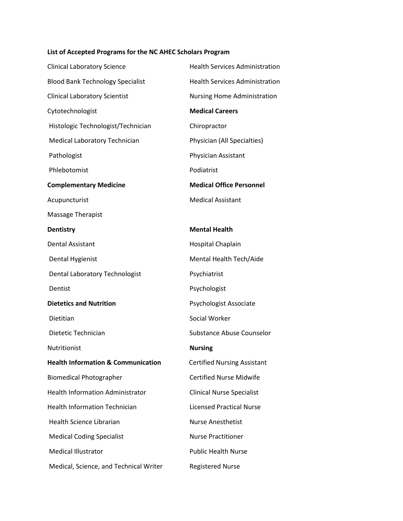## **List of Accepted Programs for the NC AHEC Scholars Program**

| <b>Clinical Laboratory Science</b>            | <b>Health Services Administration</b> |
|-----------------------------------------------|---------------------------------------|
| <b>Blood Bank Technology Specialist</b>       | <b>Health Services Administration</b> |
| <b>Clinical Laboratory Scientist</b>          | <b>Nursing Home Administration</b>    |
| Cytotechnologist                              | <b>Medical Careers</b>                |
| Histologic Technologist/Technician            | Chiropractor                          |
| Medical Laboratory Technician                 | Physician (All Specialties)           |
| Pathologist                                   | Physician Assistant                   |
| Phlebotomist                                  | Podiatrist                            |
| <b>Complementary Medicine</b>                 | <b>Medical Office Personnel</b>       |
| Acupuncturist                                 | <b>Medical Assistant</b>              |
| <b>Massage Therapist</b>                      |                                       |
| <b>Dentistry</b>                              | <b>Mental Health</b>                  |
| <b>Dental Assistant</b>                       | Hospital Chaplain                     |
| Dental Hygienist                              | Mental Health Tech/Aide               |
| Dental Laboratory Technologist                | Psychiatrist                          |
| Dentist                                       | Psychologist                          |
| <b>Dietetics and Nutrition</b>                | Psychologist Associate                |
| Dietitian                                     | Social Worker                         |
| Dietetic Technician                           | Substance Abuse Counselor             |
| Nutritionist                                  | <b>Nursing</b>                        |
| <b>Health Information &amp; Communication</b> | <b>Certified Nursing Assistant</b>    |
| <b>Biomedical Photographer</b>                | <b>Certified Nurse Midwife</b>        |
| <b>Health Information Administrator</b>       | <b>Clinical Nurse Specialist</b>      |
| <b>Health Information Technician</b>          | <b>Licensed Practical Nurse</b>       |
| <b>Health Science Librarian</b>               | <b>Nurse Anesthetist</b>              |
| <b>Medical Coding Specialist</b>              | <b>Nurse Practitioner</b>             |
| <b>Medical Illustrator</b>                    | <b>Public Health Nurse</b>            |
| Medical, Science, and Technical Writer        | <b>Registered Nurse</b>               |